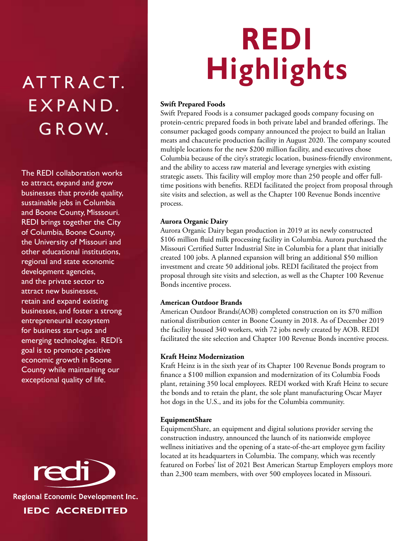## ATTRACT. EXPAND. GROW.

The REDI collaboration works to attract, expand and grow businesses that provide quality, sustainable jobs in Columbia and Boone County, Misssouri. REDI brings together the City of Columbia, Boone County, the University of Missouri and other educational institutions, regional and state economic development agencies, and the private sector to attract new businesses, retain and expand existing businesses, and foster a strong entrepreneurial ecosystem for business start-ups and emerging technologies. REDI's goal is to promote positive economic growth in Boone County while maintaining our exceptional quality of life.

red Regional Economic Development Inc.

IEDC ACCREDITED

# REDI **Highlights**

#### Swift Prepared Foods

Swift Prepared Foods is a consumer packaged goods company focusing on protein-centric prepared foods in both private label and branded offerings. The consumer packaged goods company announced the project to build an Italian meats and chacuterie production facility in August 2020. The company scouted multiple locations for the new \$200 million facility, and executives chose Columbia because of the city's strategic location, business-friendly environment, and the ability to access raw material and leverage synergies with existing strategic assets. This facility will employ more than 250 people and offer fulltime positions with benefits. REDI facilitated the project from proposal through site visits and selection, as well as the Chapter 100 Revenue Bonds incentive process.

#### Aurora Organic Dairy

Aurora Organic Dairy began production in 2019 at its newly constructed \$106 million fluid milk processing facility in Columbia. Aurora purchased the Missouri Certified Sutter Industrial Site in Columbia for a plant that initially created 100 jobs. A planned expansion will bring an additional \$50 million investment and create 50 additional jobs. REDI facilitated the project from proposal through site visits and selection, as well as the Chapter 100 Revenue Bonds incentive process.

#### American Outdoor Brands

American Outdoor Brands(AOB) completed construction on its \$70 million national distribution center in Boone County in 2018. As of December 2019 the facility housed 340 workers, with 72 jobs newly created by AOB. REDI facilitated the site selection and Chapter 100 Revenue Bonds incentive process.

#### Kraft Heinz Modernization

Kraft Heinz is in the sixth year of its Chapter 100 Revenue Bonds program to finance a \$100 million expansion and modernization of its Columbia Foods plant, retaining 350 local employees. REDI worked with Kraft Heinz to secure the bonds and to retain the plant, the sole plant manufacturing Oscar Mayer hot dogs in the U.S., and its jobs for the Columbia community.

#### EquipmentShare

EquipmentShare, an equipment and digital solutions provider serving the construction industry, announced the launch of its nationwide employee wellness initiatives and the opening of a state-of-the-art employee gym facility located at its headquarters in Columbia. The company, which was recently featured on Forbes' list of 2021 Best American Startup Employers employs more than 2,300 team members, with over 500 employees located in Missouri.